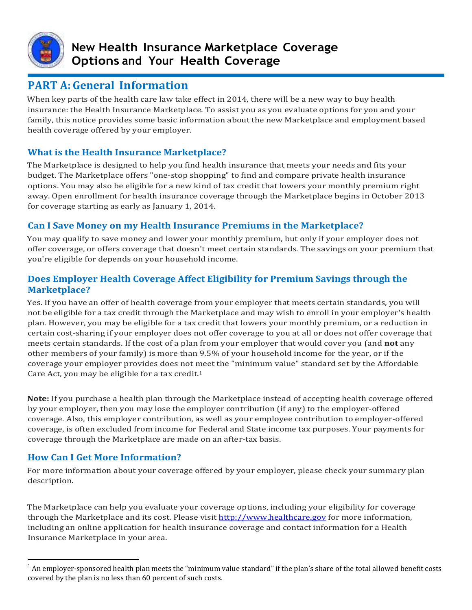

## **New Health Insurance Marketplace Coverage Options and Your Health Coverage**

### **PART A: General Information**

When key parts of the health care law take effect in 2014, there will be a new way to buy health insurance: the Health Insurance Marketplace. To assist you as you evaluate options for you and your family, this notice provides some basic information about the new Marketplace and employment based health coverage offered by your employer.

#### **What is the Health Insurance Marketplace?**

The Marketplace is designed to help you find health insurance that meets your needs and fits your budget. The Marketplace offers "one-stop shopping" to find and compare private health insurance options. You may also be eligible for a new kind of tax credit that lowers your monthly premium right away. Open enrollment for health insurance coverage through the Marketplace begins in October 2013 for coverage starting as early as January 1, 2014.

#### **Can I Save Money on my Health Insurance Premiums in the Marketplace?**

You may qualify to save money and lower your monthly premium, but only if your employer does not offer coverage, or offers coverage that doesn't meet certain standards. The savings on your premium that you're eligible for depends on your household income.

#### **Does Employer Health Coverage Affect Eligibility for Premium Savings through the Marketplace?**

Yes. If you have an offer of health coverage from your employer that meets certain standards, you will not be eligible for a tax credit through the Marketplace and may wish to enroll in your employer's health plan. However, you may be eligible for a tax credit that lowers your monthly premium, or a reduction in certain cost-sharing if your employer does not offer coverage to you at all or does not offer coverage that meets certain standards. If the cost of a plan from your employer that would cover you (and **not** any other members of your family) is more than 9.5% of your household income for the year, or if the coverage your employer provides does not meet the "minimum value" standard set by the Affordable Care Act, you may be eligible for a tax credit.<sup>1</sup>

**Note:** If you purchase a health plan through the Marketplace instead of accepting health coverage offered by your employer, then you may lose the employer contribution (if any) to the employer-offered coverage. Also, this employer contribution, as well as your employee contribution to employer-offered coverage, is often excluded from income for Federal and State income tax purposes. Your payments for coverage through the Marketplace are made on an after-tax basis.

### **How Can I Get More Information?**

 $\overline{a}$ 

For more information about your coverage offered by your employer, please check your summary plan description.

The Marketplace can help you evaluate your coverage options, including your eligibility for coverage through the Marketplace and its cost. Please visit http://www.healthcare.gov for more information, including an online application for health insurance coverage and contact information for a Health Insurance Marketplace in your area.

 $^1$  An employer-sponsored health plan meets the "minimum value standard" if the plan's share of the total allowed benefit costs covered by the plan is no less than 60 percent of such costs.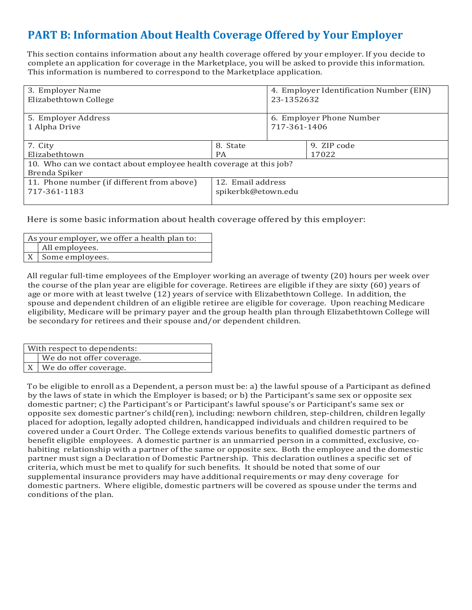# **PART B: Information About Health Coverage Offered by Your Employer**

This section contains information about any health coverage offered by your employer. If you decide to complete an application for coverage in the Marketplace, you will be asked to provide this information. This information is numbered to correspond to the Marketplace application.

| 3. Employer Name                                                   |                    | 4. Employer Identification Number (EIN) |             |  |
|--------------------------------------------------------------------|--------------------|-----------------------------------------|-------------|--|
| Elizabethtown College                                              |                    | 23-1352632                              |             |  |
|                                                                    |                    |                                         |             |  |
| 5. Employer Address                                                |                    | 6. Employer Phone Number                |             |  |
| 1 Alpha Drive                                                      |                    | 717-361-1406                            |             |  |
|                                                                    |                    |                                         |             |  |
| 7. City                                                            | 8. State           |                                         | 9. ZIP code |  |
| Elizabethtown                                                      | <b>PA</b>          |                                         | 17022       |  |
| 10. Who can we contact about employee health coverage at this job? |                    |                                         |             |  |
| Brenda Spiker                                                      |                    |                                         |             |  |
| 11. Phone number (if different from above)                         | 12. Email address  |                                         |             |  |
| 717-361-1183                                                       | spikerbk@etown.edu |                                         |             |  |
|                                                                    |                    |                                         |             |  |

Here is some basic information about health coverage offered by this employer:

| As your employer, we offer a health plan to: |
|----------------------------------------------|
| All employees.                               |
| X Some employees.                            |

All regular full-time employees of the Employer working an average of twenty (20) hours per week over the course of the plan year are eligible for coverage. Retirees are eligible if they are sixty (60) years of age or more with at least twelve (12) years of service with Elizabethtown College. In addition, the spouse and dependent children of an eligible retiree are eligible for coverage. Upon reaching Medicare eligibility, Medicare will be primary payer and the group health plan through Elizabethtown College will be secondary for retirees and their spouse and/or dependent children.

| With respect to dependents: |
|-----------------------------|
| We do not offer coverage.   |
| X   We do offer coverage.   |

To be eligible to enroll as a Dependent, a person must be: a) the lawful spouse of a Participant as defined by the laws of state in which the Employer is based; or b) the Participant's same sex or opposite sex domestic partner; c) the Participant's or Participant's lawful spouse's or Participant's same sex or opposite sex domestic partner's child(ren), including: newborn children, step-children, children legally placed for adoption, legally adopted children, handicapped individuals and children required to be covered under a Court Order. The College extends various benefits to qualified domestic partners of benefit eligible employees. A domestic partner is an unmarried person in a committed, exclusive, cohabiting relationship with a partner of the same or opposite sex. Both the employee and the domestic partner must sign a Declaration of Domestic Partnership. This declaration outlines a specific set of criteria, which must be met to qualify for such benefits. It should be noted that some of our supplemental insurance providers may have additional requirements or may deny coverage for domestic partners. Where eligible, domestic partners will be covered as spouse under the terms and conditions of the plan.